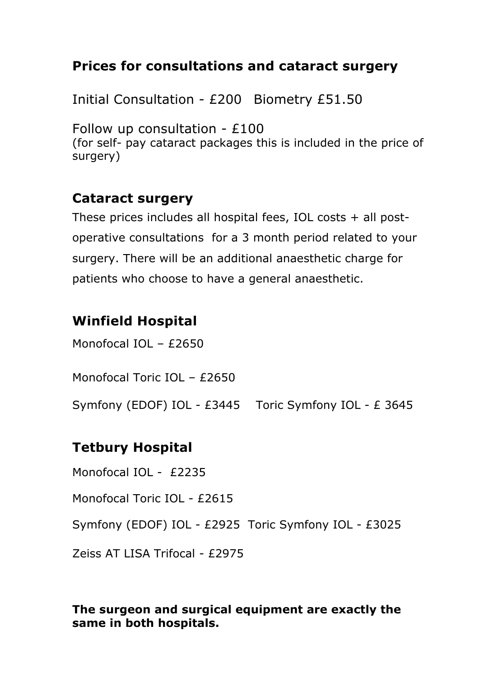## **Prices for consultations and cataract surgery**

Initial Consultation - £200 Biometry £51.50

Follow up consultation - £100 (for self- pay cataract packages this is included in the price of surgery)

## **Cataract surgery**

These prices includes all hospital fees, IOL costs + all postoperative consultations for a 3 month period related to your surgery. There will be an additional anaesthetic charge for patients who choose to have a general anaesthetic.

## **Winfield Hospital**

Monofocal IOL – £2650

Monofocal Toric IOL – £2650

Symfony (EDOF) IOL - £3445 Toric Symfony IOL - £ 3645

# **Tetbury Hospital**

Monofocal IOL - £2235

Monofocal Toric IOL - £2615

Symfony (EDOF) IOL - £2925 Toric Symfony IOL - £3025

Zeiss AT LISA Trifocal - £2975

#### **The surgeon and surgical equipment are exactly the same in both hospitals.**